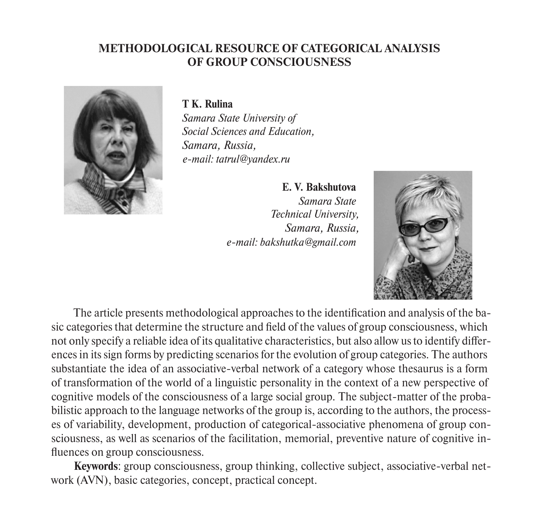## **METHODOLOGICAL RESOURCE OF CATEGORICAL ANALYSIS OF GROUP CONSCIOUSNESS**



**T K. Rulina**

*Samara State University of Social Sciences and Education, Samara, Russia, e-mail: tatrul@yandex.ru*

> **E. V. Bakshutova** *Samara State Technical University, Samara, Russia, e-mail: bakshutka@gmail.com*



The article presents methodological approaches to the identification and analysis of the basic categories that determine the structure and field of the values of group consciousness, which not only specify a reliable idea of its qualitative characteristics, but also allow us to identify differences in its sign forms by predicting scenarios for the evolution of group categories. The authors substantiate the idea of an associative-verbal network of a category whose thesaurus is a form of transformation of the world of a linguistic personality in the context of a new perspective of cognitive models of the consciousness of a large social group. The subject-matter of the probabilistic approach to the language networks of the group is, according to the authors, the processes of variability, development, production of categorical-associative phenomena of group consciousness, as well as scenarios of the facilitation, memorial, preventive nature of cognitive influences on group consciousness.

**Keywords**: group consciousness, group thinking, collective subject, associative-verbal network (AVN), basic categories, concept, practical concept.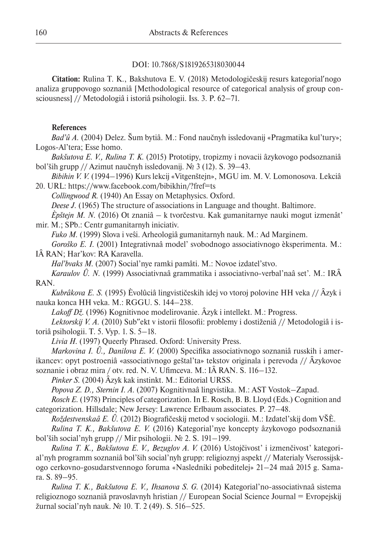## DOI: 10.7868/S1819265318030044

**Citation:** Rulina T. K., Bakshutova E. V. (2018) Metodologičeskij resurs kategorialʹnogo analiza gruppovogo soznaniâ [Methodological resource of categorical analysis of group consciousness] // Metodologiâ i istoriâ psihologii. Iss. 3. P. 62–71.

## **References**

*Bad'û A.* (2004) Delez. Šum bytiâ. M.: Fond naučnyh issledovanij «Pragmatika kul'tury»; Logos-Al'tera; Esse homo.

*Bakšutova E. V., Rulina T. K.* (2015) Prototipy, tropizmy i novacii âzykovogo podsoznaniâ bol'ših grupp // Azimut naučnyh issledovanij. № 3 (12). S. 39–43.

*Bibihin V. V.* (1994–1996) Kurs lekcij «Vitgenštejn», MGU im. M. V. Lomonosova. Lekciâ 20. URL: https://www.facebook.com/bibikhin/?fref=ts

*Collingwood R.* (1940) An Essay on Metaphysics. Oxford.

*Deese J.* (1965) The structure of associations in Language and thought. Baltimore.

*Èpštejn M. N.* (2016) Ot znaniâ – k tvorčestvu. Kak gumanitarnye nauki mogut izmenât' mir. M.; SPb.: Centr gumanitarnyh iniciativ.

*Fuko M.* (1999) Slova i veŝi. Arheologiâ gumanitarnyh nauk. M.: Ad Marginem.

*Goroško E. I.* (2001) Integrativnaâ model' svobodnogo associativnogo èksperimenta. M.: IÂ RAN; Har'kov: RA Karavella.

*Hal'bvaks M.* (2007) Social'nye ramki pamâti. M.: Novoe izdatel'stvo.

*Karaulov Û. N.* (1999) Associativnaâ grammatika i associativno-verbal'naâ set'. M.: IRÂ RAN.

*Kubrâkova E. S.* (1995) Èvolûciâ lingvističeskih idej vo vtoroj polovine HH veka // Âzyk i nauka konca HH veka. M.: RGGU. S. 144–238.

*Lakoff Dž.* (1996) Kognitivnoe modelirovanie. Âzyk i intellekt. M.: Progress.

Lektorskij V. A. (2010) Sub"ekt v istorii filosofii: problemy i dostiženiâ // Metodologiâ i istoriâ psihologii. T. 5. Vyp. 1. S. 5–18.

*Livia H.* (1997) Queerly Phrased. Oxford: University Press.

*Markovina I. Û., Danilova E. V.* (2000) Specifika associativnogo soznaniâ russkih i amerikancev: opyt postroeniâ «associativnogo geštal'ta» tekstov originala i perevoda // Âzykovoe soznanie i obraz mira / otv. red. N. V. Ufimceva. M.: IÂ RAN. S. 116–132.

*Pinker S.* (2004) Âzyk kak instinkt. M.: Editorial URSS.

*Popova Z. D., Sternin I. A.* (2007) Kognitivnaâ lingvistika. M.: AST Vostok–Zapad.

*Rosch E.* (1978) Principles of categorization. In E. Rosch, B. B. Lloyd (Eds.) Cognition and categorization. Hillsdale; New Jersey: Lawrence Erlbaum associates. P. 27–48.

*Roždestvenskaâ E. Û.* (2012) Biografičeskij metod v sociologii. M.: Izdatel'skij dom VŠÈ.

*Rulina T. K., Bakšutova E. V.* (2016) Kategorial'nye koncepty âzykovogo podsoznaniâ bol'ših social'nyh grupp // Mir psihologii. № 2. S. 191–199.

*Rulina T. K., Bakšutova E. V., Bezuglov A. V.* (2016) Ustojčivost' i izmenčivost' kategorial'nyh programm soznaniâ bol'ših social'nyh grupp: religioznyj aspekt // Materialy Vserossijskogo cerkovno-gosudarstvennogo foruma «Nasledniki pobeditelej» 21–24 maâ 2015 g. Samara. S. 89–95.

*Rulina T. K., Bakšutova E. V., Ihsanova S. G.* (2014) Kategorial'no-associativnaâ sistema religioznogo soznaniâ pravoslavnyh hristian // European Social Science Journal = Evropejskij žurnal social'nyh nauk. № 10. T. 2 (49). S. 516–525.